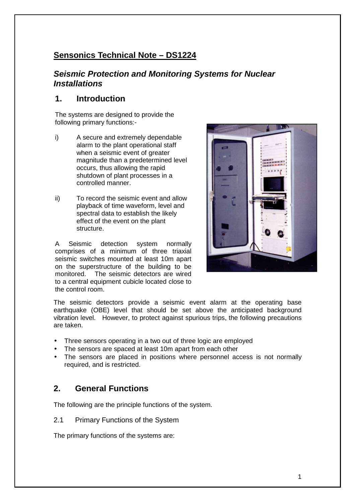# **Sensonics Technical Note – DS1224**

# **Seismic Protection and Monitoring Systems for Nuclear Installations**

# **1. Introduction**

The systems are designed to provide the following primary functions:-

- i) A secure and extremely dependable alarm to the plant operational staff when a seismic event of greater magnitude than a predetermined level occurs, thus allowing the rapid shutdown of plant processes in a controlled manner.
- ii) To record the seismic event and allow playback of time waveform, level and spectral data to establish the likely effect of the event on the plant structure.

A Seismic detection system normally comprises of a minimum of three triaxial seismic switches mounted at least 10m apart on the superstructure of the building to be monitored. The seismic detectors are wired to a central equipment cubicle located close to the control room.



The seismic detectors provide a seismic event alarm at the operating base earthquake (OBE) level that should be set above the anticipated background vibration level. However, to protect against spurious trips, the following precautions are taken.

- Three sensors operating in a two out of three logic are employed
- The sensors are spaced at least 10m apart from each other
- The sensors are placed in positions where personnel access is not normally required, and is restricted.

# **2. General Functions**

The following are the principle functions of the system.

2.1 Primary Functions of the System

The primary functions of the systems are: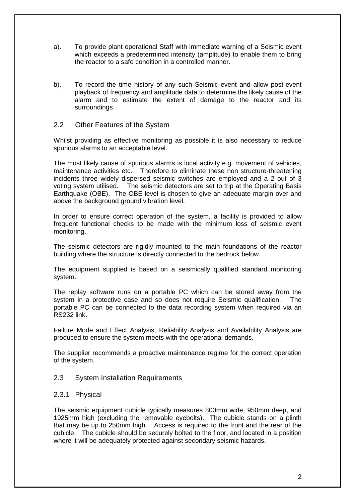- a). To provide plant operational Staff with immediate warning of a Seismic event which exceeds a predetermined intensity (amplitude) to enable them to bring the reactor to a safe condition in a controlled manner.
- b). To record the time history of any such Seismic event and allow post-event playback of frequency and amplitude data to determine the likely cause of the alarm and to estimate the extent of damage to the reactor and its surroundings.

#### 2.2 Other Features of the System

Whilst providing as effective monitoring as possible it is also necessary to reduce spurious alarms to an acceptable level.

The most likely cause of spurious alarms is local activity e.g. movement of vehicles, maintenance activities etc. Therefore to eliminate these non structure-threatening incidents three widely dispersed seismic switches are employed and a 2 out of 3 voting system utilised. The seismic detectors are set to trip at the Operating Basis Earthquake (OBE). The OBE level is chosen to give an adequate margin over and above the background ground vibration level.

In order to ensure correct operation of the system, a facility is provided to allow frequent functional checks to be made with the minimum loss of seismic event monitoring.

The seismic detectors are rigidly mounted to the main foundations of the reactor building where the structure is directly connected to the bedrock below.

The equipment supplied is based on a seismically qualified standard monitoring system.

The replay software runs on a portable PC which can be stored away from the system in a protective case and so does not require Seismic qualification. The portable PC can be connected to the data recording system when required via an RS232 link.

Failure Mode and Effect Analysis, Reliability Analysis and Availability Analysis are produced to ensure the system meets with the operational demands.

The supplier recommends a proactive maintenance regime for the correct operation of the system.

#### 2.3 System Installation Requirements

#### 2.3.1 Physical

The seismic equipment cubicle typically measures 800mm wide, 950mm deep, and 1925mm high (excluding the removable eyebolts). The cubicle stands on a plinth that may be up to 250mm high. Access is required to the front and the rear of the cubicle. The cubicle should be securely bolted to the floor, and located in a position where it will be adequately protected against secondary seismic hazards.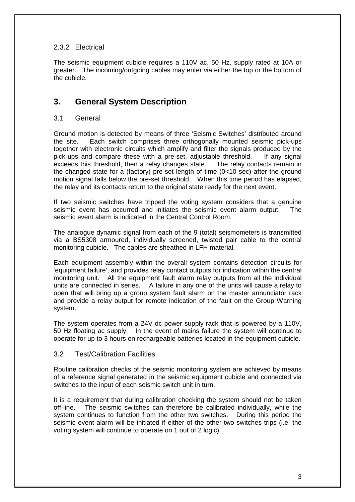## 2.3.2 Electrical

The seismic equipment cubicle requires a 110V ac, 50 Hz, supply rated at 10A or greater. The incoming/outgoing cables may enter via either the top or the bottom of the cubicle.

# **3. General System Description**

## 3.1 General

Ground motion is detected by means of three 'Seismic Switches' distributed around the site. Each switch comprises three orthogonally mounted seismic pick-ups together with electronic circuits which amplify and filter the signals produced by the pick-ups and compare these with a pre-set, adjustable threshold. If any signal exceeds this threshold, then a relay changes state. The relay contacts remain in the changed state for a (factory) pre-set length of time (0<10 sec) after the ground motion signal falls below the pre-set threshold. When this time period has elapsed, the relay and its contacts return to the original state ready for the next event.

If two seismic switches have tripped the voting system considers that a genuine seismic event has occurred and initiates the seismic event alarm output. The seismic event alarm is indicated in the Central Control Room.

The analogue dynamic signal from each of the 9 (total) seismometers is transmitted via a BS5308 armoured, individually screened, twisted pair cable to the central monitoring cubicle. The cables are sheathed in LFH material.

Each equipment assembly within the overall system contains detection circuits for 'equipment failure', and provides relay contact outputs for indication within the central monitoring unit. All the equipment fault alarm relay outputs from all the individual units are connected in series. A failure in any one of the units will cause a relay to open that will bring up a group system fault alarm on the master annunciator rack and provide a relay output for remote indication of the fault on the Group Warning system.

The system operates from a 24V dc power supply rack that is powered by a 110V, 50 Hz floating ac supply. In the event of mains failure the system will continue to operate for up to 3 hours on rechargeable batteries located in the equipment cubicle.

## 3.2 Test/Calibration Facilities

Routine calibration checks of the seismic monitoring system are achieved by means of a reference signal generated in the seismic equipment cubicle and connected via switches to the input of each seismic switch unit in turn.

It is a requirement that during calibration checking the system should not be taken off-line. The seismic switches can therefore be calibrated individually, while the system continues to function from the other two switches. During this period the seismic event alarm will be initiated if either of the other two switches trips (i.e. the voting system will continue to operate on 1 out of 2 logic).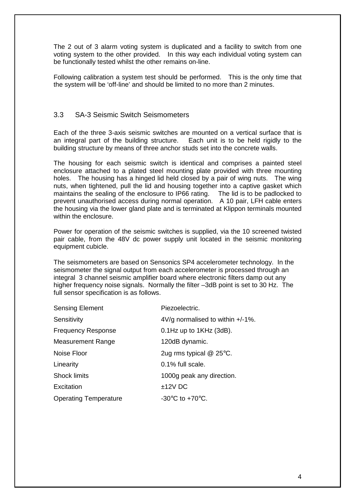The 2 out of 3 alarm voting system is duplicated and a facility to switch from one voting system to the other provided. In this way each individual voting system can be functionally tested whilst the other remains on-line.

Following calibration a system test should be performed. This is the only time that the system will be 'off-line' and should be limited to no more than 2 minutes.

#### 3.3 SA-3 Seismic Switch Seismometers

Each of the three 3-axis seismic switches are mounted on a vertical surface that is an integral part of the building structure. Each unit is to be held rigidly to the building structure by means of three anchor studs set into the concrete walls.

The housing for each seismic switch is identical and comprises a painted steel enclosure attached to a plated steel mounting plate provided with three mounting holes. The housing has a hinged lid held closed by a pair of wing nuts. The wing nuts, when tightened, pull the lid and housing together into a captive gasket which maintains the sealing of the enclosure to IP66 rating. The lid is to be padlocked to prevent unauthorised access during normal operation. A 10 pair, LFH cable enters the housing via the lower gland plate and is terminated at Klippon terminals mounted within the enclosure.

Power for operation of the seismic switches is supplied, via the 10 screened twisted pair cable, from the 48V dc power supply unit located in the seismic monitoring equipment cubicle.

The seismometers are based on Sensonics SP4 accelerometer technology. In the seismometer the signal output from each accelerometer is processed through an integral 3 channel seismic amplifier board where electronic filters damp out any higher frequency noise signals. Normally the filter –3dB point is set to 30 Hz. The full sensor specification is as follows.

| <b>Sensing Element</b>       | Piezoelectric.                                         |
|------------------------------|--------------------------------------------------------|
| Sensitivity                  | $4\sqrt{g}$ normalised to within $+/-1\%$ .            |
| <b>Frequency Response</b>    | $0.1$ Hz up to $1$ KHz (3dB).                          |
| <b>Measurement Range</b>     | 120dB dynamic.                                         |
| Noise Floor                  | 2ug rms typical $@$ 25 $°C$ .                          |
| Linearity                    | 0.1% full scale.                                       |
| <b>Shock limits</b>          | 1000g peak any direction.                              |
| Excitation                   | $±12V$ DC                                              |
| <b>Operating Temperature</b> | -30 $\mathrm{^{\circ}C}$ to +70 $\mathrm{^{\circ}C}$ . |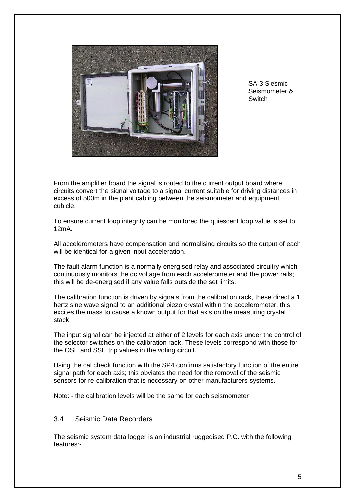

SA-3 Siesmic Seismometer & **Switch** 

From the amplifier board the signal is routed to the current output board where circuits convert the signal voltage to a signal current suitable for driving distances in excess of 500m in the plant cabling between the seismometer and equipment cubicle.

To ensure current loop integrity can be monitored the quiescent loop value is set to 12mA.

All accelerometers have compensation and normalising circuits so the output of each will be identical for a given input acceleration.

The fault alarm function is a normally energised relay and associated circuitry which continuously monitors the dc voltage from each accelerometer and the power rails; this will be de-energised if any value falls outside the set limits.

The calibration function is driven by signals from the calibration rack, these direct a 1 hertz sine wave signal to an additional piezo crystal within the accelerometer, this excites the mass to cause a known output for that axis on the measuring crystal stack.

The input signal can be injected at either of 2 levels for each axis under the control of the selector switches on the calibration rack. These levels correspond with those for the OSE and SSE trip values in the voting circuit.

Using the cal check function with the SP4 confirms satisfactory function of the entire signal path for each axis; this obviates the need for the removal of the seismic sensors for re-calibration that is necessary on other manufacturers systems.

Note: - the calibration levels will be the same for each seismometer.

#### 3.4 Seismic Data Recorders

The seismic system data logger is an industrial ruggedised P.C. with the following features:-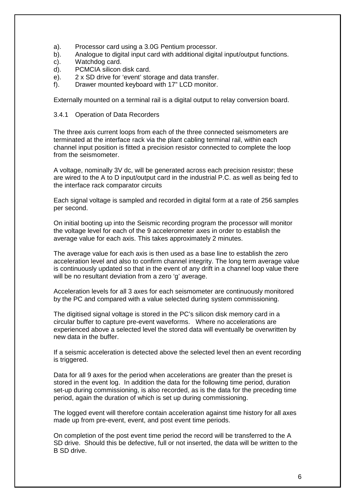- a). Processor card using a 3.0G Pentium processor.
- b). Analogue to digital input card with additional digital input/output functions.
- c). Watchdog card.
- d). PCMCIA silicon disk card.
- e). 2 x SD drive for 'event' storage and data transfer.
- f). Drawer mounted keyboard with 17" LCD monitor.

Externally mounted on a terminal rail is a digital output to relay conversion board.

3.4.1 Operation of Data Recorders

The three axis current loops from each of the three connected seismometers are terminated at the interface rack via the plant cabling terminal rail, within each channel input position is fitted a precision resistor connected to complete the loop from the seismometer.

A voltage, nominally 3V dc, will be generated across each precision resistor; these are wired to the A to D input/output card in the industrial P.C. as well as being fed to the interface rack comparator circuits

Each signal voltage is sampled and recorded in digital form at a rate of 256 samples per second.

On initial booting up into the Seismic recording program the processor will monitor the voltage level for each of the 9 accelerometer axes in order to establish the average value for each axis. This takes approximately 2 minutes.

The average value for each axis is then used as a base line to establish the zero acceleration level and also to confirm channel integrity. The long term average value is continuously updated so that in the event of any drift in a channel loop value there will be no resultant deviation from a zero 'g' average.

Acceleration levels for all 3 axes for each seismometer are continuously monitored by the PC and compared with a value selected during system commissioning.

The digitised signal voltage is stored in the PC's silicon disk memory card in a circular buffer to capture pre-event waveforms. Where no accelerations are experienced above a selected level the stored data will eventually be overwritten by new data in the buffer.

If a seismic acceleration is detected above the selected level then an event recording is triggered.

Data for all 9 axes for the period when accelerations are greater than the preset is stored in the event log. In addition the data for the following time period, duration set-up during commissioning, is also recorded, as is the data for the preceding time period, again the duration of which is set up during commissioning.

The logged event will therefore contain acceleration against time history for all axes made up from pre-event, event, and post event time periods.

On completion of the post event time period the record will be transferred to the A SD drive. Should this be defective, full or not inserted, the data will be written to the B SD drive.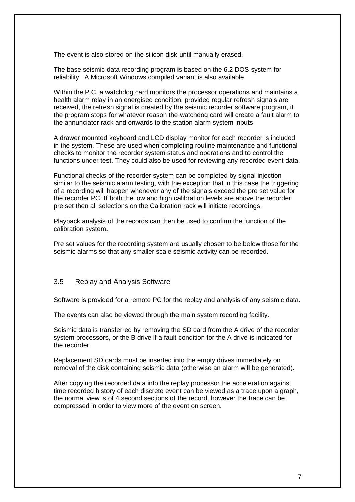The event is also stored on the silicon disk until manually erased.

The base seismic data recording program is based on the 6.2 DOS system for reliability. A Microsoft Windows compiled variant is also available.

Within the P.C. a watchdog card monitors the processor operations and maintains a health alarm relay in an energised condition, provided regular refresh signals are received, the refresh signal is created by the seismic recorder software program, if the program stops for whatever reason the watchdog card will create a fault alarm to the annunciator rack and onwards to the station alarm system inputs.

A drawer mounted keyboard and LCD display monitor for each recorder is included in the system. These are used when completing routine maintenance and functional checks to monitor the recorder system status and operations and to control the functions under test. They could also be used for reviewing any recorded event data.

Functional checks of the recorder system can be completed by signal injection similar to the seismic alarm testing, with the exception that in this case the triggering of a recording will happen whenever any of the signals exceed the pre set value for the recorder PC. If both the low and high calibration levels are above the recorder pre set then all selections on the Calibration rack will initiate recordings.

Playback analysis of the records can then be used to confirm the function of the calibration system.

Pre set values for the recording system are usually chosen to be below those for the seismic alarms so that any smaller scale seismic activity can be recorded.

#### 3.5 Replay and Analysis Software

Software is provided for a remote PC for the replay and analysis of any seismic data.

The events can also be viewed through the main system recording facility.

Seismic data is transferred by removing the SD card from the A drive of the recorder system processors, or the B drive if a fault condition for the A drive is indicated for the recorder.

Replacement SD cards must be inserted into the empty drives immediately on removal of the disk containing seismic data (otherwise an alarm will be generated).

After copying the recorded data into the replay processor the acceleration against time recorded history of each discrete event can be viewed as a trace upon a graph, the normal view is of 4 second sections of the record, however the trace can be compressed in order to view more of the event on screen.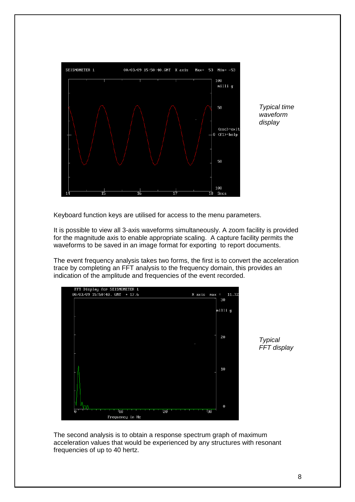

Typical time waveform display

Keyboard function keys are utilised for access to the menu parameters.

It is possible to view all 3-axis waveforms simultaneously. A zoom facility is provided for the magnitude axis to enable appropriate scaling. A capture facility permits the waveforms to be saved in an image format for exporting to report documents.

The event frequency analysis takes two forms, the first is to convert the acceleration trace by completing an FFT analysis to the frequency domain, this provides an indication of the amplitude and frequencies of the event recorded.





The second analysis is to obtain a response spectrum graph of maximum acceleration values that would be experienced by any structures with resonant frequencies of up to 40 hertz.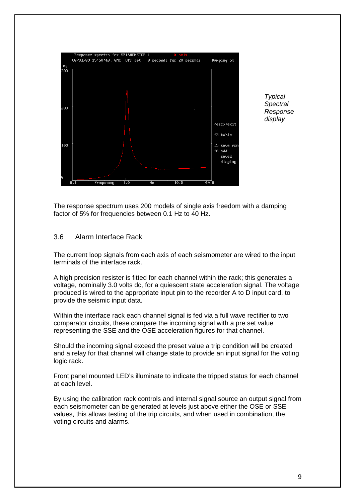

**Typical Spectral** Response display

The response spectrum uses 200 models of single axis freedom with a damping factor of 5% for frequencies between 0.1 Hz to 40 Hz.

#### 3.6 Alarm Interface Rack

The current loop signals from each axis of each seismometer are wired to the input terminals of the interface rack.

A high precision resister is fitted for each channel within the rack; this generates a voltage, nominally 3.0 volts dc, for a quiescent state acceleration signal. The voltage produced is wired to the appropriate input pin to the recorder A to D input card, to provide the seismic input data.

Within the interface rack each channel signal is fed via a full wave rectifier to two comparator circuits, these compare the incoming signal with a pre set value representing the SSE and the OSE acceleration figures for that channel.

Should the incoming signal exceed the preset value a trip condition will be created and a relay for that channel will change state to provide an input signal for the voting logic rack.

Front panel mounted LED's illuminate to indicate the tripped status for each channel at each level.

By using the calibration rack controls and internal signal source an output signal from each seismometer can be generated at levels just above either the OSE or SSE values, this allows testing of the trip circuits, and when used in combination, the voting circuits and alarms.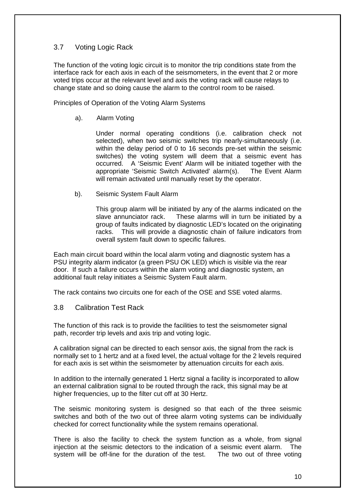## 3.7 Voting Logic Rack

The function of the voting logic circuit is to monitor the trip conditions state from the interface rack for each axis in each of the seismometers, in the event that 2 or more voted trips occur at the relevant level and axis the voting rack will cause relays to change state and so doing cause the alarm to the control room to be raised.

Principles of Operation of the Voting Alarm Systems

a). Alarm Voting

 Under normal operating conditions (i.e. calibration check not selected), when two seismic switches trip nearly-simultaneously (i.e. within the delay period of 0 to 16 seconds pre-set within the seismic switches) the voting system will deem that a seismic event has occurred. A 'Seismic Event' Alarm will be initiated together with the appropriate 'Seismic Switch Activated' alarm(s). The Event Alarm will remain activated until manually reset by the operator.

b). Seismic System Fault Alarm

 This group alarm will be initiated by any of the alarms indicated on the slave annunciator rack. These alarms will in turn be initiated by a group of faults indicated by diagnostic LED's located on the originating racks. This will provide a diagnostic chain of failure indicators from overall system fault down to specific failures.

Each main circuit board within the local alarm voting and diagnostic system has a PSU integrity alarm indicator (a green PSU OK LED) which is visible via the rear door. If such a failure occurs within the alarm voting and diagnostic system, an additional fault relay initiates a Seismic System Fault alarm.

The rack contains two circuits one for each of the OSE and SSE voted alarms.

#### 3.8 Calibration Test Rack

The function of this rack is to provide the facilities to test the seismometer signal path, recorder trip levels and axis trip and voting logic.

A calibration signal can be directed to each sensor axis, the signal from the rack is normally set to 1 hertz and at a fixed level, the actual voltage for the 2 levels required for each axis is set within the seismometer by attenuation circuits for each axis.

In addition to the internally generated 1 Hertz signal a facility is incorporated to allow an external calibration signal to be routed through the rack, this signal may be at higher frequencies, up to the filter cut off at 30 Hertz.

The seismic monitoring system is designed so that each of the three seismic switches and both of the two out of three alarm voting systems can be individually checked for correct functionality while the system remains operational.

There is also the facility to check the system function as a whole, from signal injection at the seismic detectors to the indication of a seismic event alarm. The system will be off-line for the duration of the test. The two out of three voting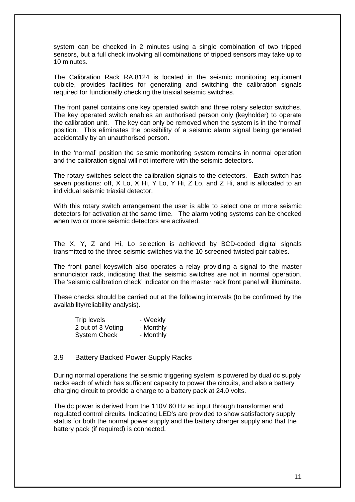system can be checked in 2 minutes using a single combination of two tripped sensors, but a full check involving all combinations of tripped sensors may take up to 10 minutes.

The Calibration Rack RA.8124 is located in the seismic monitoring equipment cubicle, provides facilities for generating and switching the calibration signals required for functionally checking the triaxial seismic switches.

The front panel contains one key operated switch and three rotary selector switches. The key operated switch enables an authorised person only (keyholder) to operate the calibration unit. The key can only be removed when the system is in the 'normal' position. This eliminates the possibility of a seismic alarm signal being generated accidentally by an unauthorised person.

In the 'normal' position the seismic monitoring system remains in normal operation and the calibration signal will not interfere with the seismic detectors.

The rotary switches select the calibration signals to the detectors. Each switch has seven positions: off, X Lo, X Hi, Y Lo, Y Hi, Z Lo, and Z Hi, and is allocated to an individual seismic triaxial detector.

With this rotary switch arrangement the user is able to select one or more seismic detectors for activation at the same time. The alarm voting systems can be checked when two or more seismic detectors are activated.

The X, Y, Z and Hi, Lo selection is achieved by BCD-coded digital signals transmitted to the three seismic switches via the 10 screened twisted pair cables.

The front panel keyswitch also operates a relay providing a signal to the master annunciator rack, indicating that the seismic switches are not in normal operation. The 'seismic calibration check' indicator on the master rack front panel will illuminate.

These checks should be carried out at the following intervals (to be confirmed by the availability/reliability analysis).

| Trip levels         | - Weekly  |
|---------------------|-----------|
| 2 out of 3 Voting   | - Monthly |
| <b>System Check</b> | - Monthly |

#### 3.9 Battery Backed Power Supply Racks

During normal operations the seismic triggering system is powered by dual dc supply racks each of which has sufficient capacity to power the circuits, and also a battery charging circuit to provide a charge to a battery pack at 24.0 volts.

The dc power is derived from the 110V 60 Hz ac input through transformer and regulated control circuits. Indicating LED's are provided to show satisfactory supply status for both the normal power supply and the battery charger supply and that the battery pack (if required) is connected.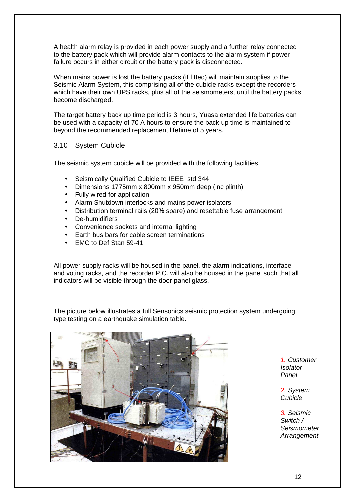A health alarm relay is provided in each power supply and a further relay connected to the battery pack which will provide alarm contacts to the alarm system if power failure occurs in either circuit or the battery pack is disconnected.

When mains power is lost the battery packs (if fitted) will maintain supplies to the Seismic Alarm System, this comprising all of the cubicle racks except the recorders which have their own UPS racks, plus all of the seismometers, until the battery packs become discharged.

The target battery back up time period is 3 hours, Yuasa extended life batteries can be used with a capacity of 70 A hours to ensure the back up time is maintained to beyond the recommended replacement lifetime of 5 years.

#### 3.10 System Cubicle

The seismic system cubicle will be provided with the following facilities.

- Seismically Qualified Cubicle to IEEE std 344
- Dimensions 1775mm x 800mm x 950mm deep (inc plinth)
- Fully wired for application
- Alarm Shutdown interlocks and mains power isolators
- Distribution terminal rails (20% spare) and resettable fuse arrangement
- De-humidifiers
- Convenience sockets and internal lighting
- Earth bus bars for cable screen terminations
- EMC to Def Stan 59-41

All power supply racks will be housed in the panel, the alarm indications, interface and voting racks, and the recorder P.C. will also be housed in the panel such that all indicators will be visible through the door panel glass.

The picture below illustrates a full Sensonics seismic protection system undergoing type testing on a earthquake simulation table.



1. Customer Isolator Panel

2. System Cubicle

3. Seismic Switch / Seismometer **Arrangement**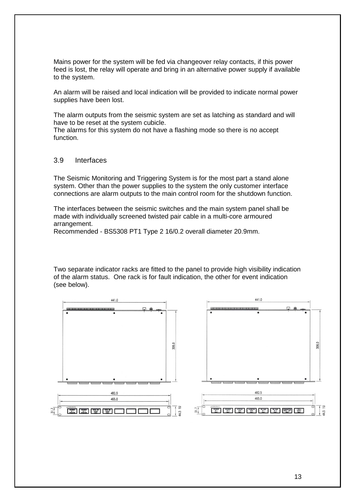Mains power for the system will be fed via changeover relay contacts, if this power feed is lost, the relay will operate and bring in an alternative power supply if available to the system.

An alarm will be raised and local indication will be provided to indicate normal power supplies have been lost.

The alarm outputs from the seismic system are set as latching as standard and will have to be reset at the system cubicle.

The alarms for this system do not have a flashing mode so there is no accept function.

## 3.9 Interfaces

The Seismic Monitoring and Triggering System is for the most part a stand alone system. Other than the power supplies to the system the only customer interface connections are alarm outputs to the main control room for the shutdown function.

The interfaces between the seismic switches and the main system panel shall be made with individually screened twisted pair cable in a multi-core armoured arrangement.

Recommended - BS5308 PT1 Type 2 16/0.2 overall diameter 20.9mm.

Two separate indicator racks are fitted to the panel to provide high visibility indication of the alarm status. One rack is for fault indication, the other for event indication (see below).